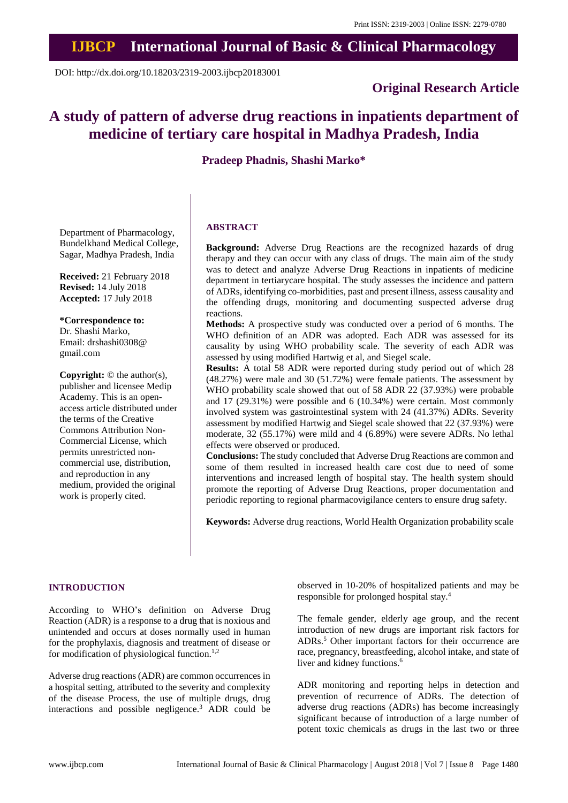## **IJBCP International Journal of Basic & Clinical Pharmacology**

DOI: http://dx.doi.org/10.18203/2319-2003.ijbcp20183001

### **Original Research Article**

# **A study of pattern of adverse drug reactions in inpatients department of medicine of tertiary care hospital in Madhya Pradesh, India**

**Pradeep Phadnis, Shashi Marko\***

Department of Pharmacology, Bundelkhand Medical College, Sagar, Madhya Pradesh, India

**Received:** 21 February 2018 **Revised:** 14 July 2018 **Accepted:** 17 July 2018

**\*Correspondence to:** Dr. Shashi Marko, Email: drshashi0308@ gmail.com

**Copyright:** © the author(s), publisher and licensee Medip Academy. This is an openaccess article distributed under the terms of the Creative Commons Attribution Non-Commercial License, which permits unrestricted noncommercial use, distribution, and reproduction in any medium, provided the original work is properly cited.

#### **ABSTRACT**

**Background:** Adverse Drug Reactions are the recognized hazards of drug therapy and they can occur with any class of drugs. The main aim of the study was to detect and analyze Adverse Drug Reactions in inpatients of medicine department in tertiarycare hospital. The study assesses the incidence and pattern of ADRs, identifying co-morbidities, past and present illness, assess causality and the offending drugs, monitoring and documenting suspected adverse drug reactions.

**Methods:** A prospective study was conducted over a period of 6 months. The WHO definition of an ADR was adopted. Each ADR was assessed for its causality by using WHO probability scale. The severity of each ADR was assessed by using modified Hartwig et al, and Siegel scale.

**Results:** A total 58 ADR were reported during study period out of which 28 (48.27%) were male and 30 (51.72%) were female patients. The assessment by WHO probability scale showed that out of 58 ADR 22 (37.93%) were probable and 17 (29.31%) were possible and 6 (10.34%) were certain. Most commonly involved system was gastrointestinal system with 24 (41.37%) ADRs. Severity assessment by modified Hartwig and Siegel scale showed that 22 (37.93%) were moderate, 32 (55.17%) were mild and 4 (6.89%) were severe ADRs. No lethal effects were observed or produced.

**Conclusions:** The study concluded that Adverse Drug Reactions are common and some of them resulted in increased health care cost due to need of some interventions and increased length of hospital stay. The health system should promote the reporting of Adverse Drug Reactions, proper documentation and periodic reporting to regional pharmacovigilance centers to ensure drug safety.

**Keywords:** Adverse drug reactions, World Health Organization probability scale

#### **INTRODUCTION**

According to WHO's definition on Adverse Drug Reaction (ADR) is a response to a drug that is noxious and unintended and occurs at doses normally used in human for the prophylaxis, diagnosis and treatment of disease or for modification of physiological function.<sup>1,2</sup>

Adverse drug reactions (ADR) are common occurrences in a hospital setting, attributed to the severity and complexity of the disease Process, the use of multiple drugs, drug interactions and possible negligence. <sup>3</sup> ADR could be

observed in 10-20% of hospitalized patients and may be responsible for prolonged hospital stay. 4

The female gender, elderly age group, and the recent introduction of new drugs are important risk factors for ADRs. <sup>5</sup> Other important factors for their occurrence are race, pregnancy, breastfeeding, alcohol intake, and state of liver and kidney functions. 6

ADR monitoring and reporting helps in detection and prevention of recurrence of ADRs. The detection of adverse drug reactions (ADRs) has become increasingly significant because of introduction of a large number of potent toxic chemicals as drugs in the last two or three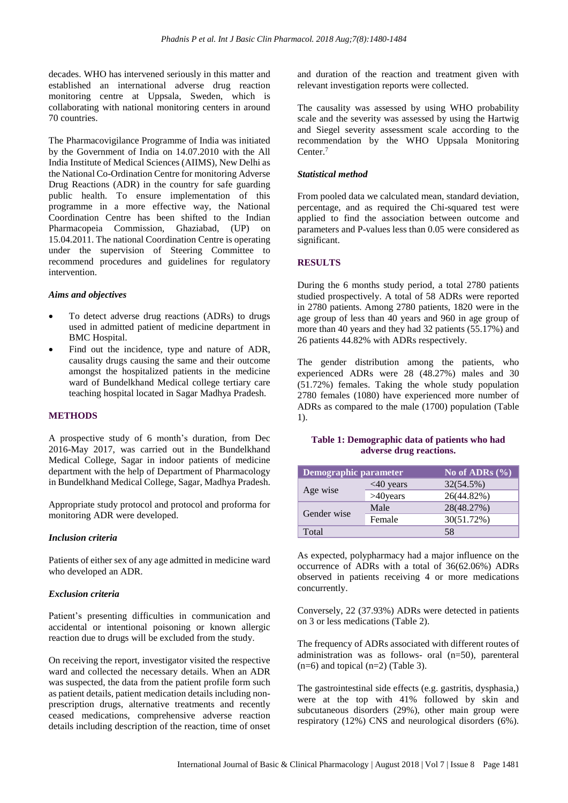decades. WHO has intervened seriously in this matter and established an international adverse drug reaction monitoring centre at Uppsala, Sweden, which is collaborating with national monitoring centers in around 70 countries.

The Pharmacovigilance Programme of India was initiated by the Government of India on 14.07.2010 with the All India Institute of Medical Sciences (AIIMS), New Delhi as the National Co-Ordination Centre for monitoring Adverse Drug Reactions (ADR) in the country for safe guarding public health. To ensure implementation of this programme in a more effective way, the National Coordination Centre has been shifted to the Indian Pharmacopeia Commission, Ghaziabad, (UP) on 15.04.2011. The national Coordination Centre is operating under the supervision of Steering Committee to recommend procedures and guidelines for regulatory intervention.

#### *Aims and objectives*

- To detect adverse drug reactions (ADRs) to drugs used in admitted patient of medicine department in BMC Hospital.
- Find out the incidence, type and nature of ADR, causality drugs causing the same and their outcome amongst the hospitalized patients in the medicine ward of Bundelkhand Medical college tertiary care teaching hospital located in Sagar Madhya Pradesh.

#### **METHODS**

A prospective study of 6 month's duration, from Dec 2016-May 2017, was carried out in the Bundelkhand Medical College, Sagar in indoor patients of medicine department with the help of Department of Pharmacology in Bundelkhand Medical College, Sagar, Madhya Pradesh.

Appropriate study protocol and protocol and proforma for monitoring ADR were developed.

#### *Inclusion criteria*

Patients of either sex of any age admitted in medicine ward who developed an ADR.

#### *Exclusion criteria*

Patient's presenting difficulties in communication and accidental or intentional poisoning or known allergic reaction due to drugs will be excluded from the study.

On receiving the report, investigator visited the respective ward and collected the necessary details. When an ADR was suspected, the data from the patient profile form such as patient details, patient medication details including nonprescription drugs, alternative treatments and recently ceased medications, comprehensive adverse reaction details including description of the reaction, time of onset and duration of the reaction and treatment given with relevant investigation reports were collected.

The causality was assessed by using WHO probability scale and the severity was assessed by using the Hartwig and Siegel severity assessment scale according to the recommendation by the WHO Uppsala Monitoring Center. 7

#### *Statistical method*

From pooled data we calculated mean, standard deviation, percentage, and as required the Chi-squared test were applied to find the association between outcome and parameters and P-values less than 0.05 were considered as significant.

#### **RESULTS**

During the 6 months study period, a total 2780 patients studied prospectively. A total of 58 ADRs were reported in 2780 patients. Among 2780 patients, 1820 were in the age group of less than 40 years and 960 in age group of more than 40 years and they had 32 patients (55.17%) and 26 patients 44.82% with ADRs respectively.

The gender distribution among the patients, who experienced ADRs were 28 (48.27%) males and 30 (51.72%) females. Taking the whole study population 2780 females (1080) have experienced more number of ADRs as compared to the male (1700) population (Table 1).

| <b>Demographic parameter</b> |             | No of ADRs $(\%$ |
|------------------------------|-------------|------------------|
| Age wise                     | $<40$ years | 32(54.5%)        |
|                              | $>40$ years | 26(44.82%)       |
| Gender wise                  | Male        | 28(48.27%)       |
|                              | Female      | 30(51.72%)       |
| Total                        |             | 58               |

**Table 1: Demographic data of patients who had adverse drug reactions.**

As expected, polypharmacy had a major influence on the occurrence of ADRs with a total of 36(62.06%) ADRs observed in patients receiving 4 or more medications concurrently.

Conversely, 22 (37.93%) ADRs were detected in patients on 3 or less medications (Table 2).

The frequency of ADRs associated with different routes of administration was as follows- oral (n=50), parenteral  $(n=6)$  and topical  $(n=2)$  (Table 3).

The gastrointestinal side effects (e.g. gastritis, dysphasia,) were at the top with 41% followed by skin and subcutaneous disorders (29%), other main group were respiratory (12%) CNS and neurological disorders (6%).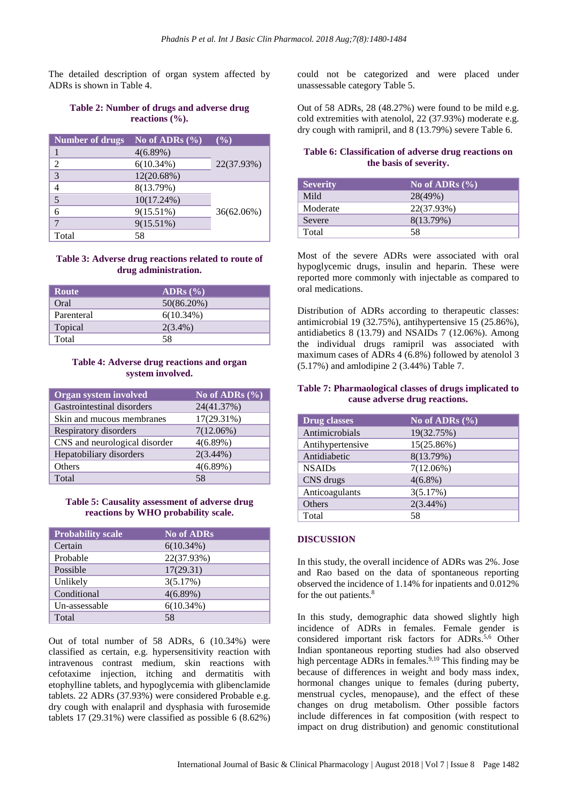The detailed description of organ system affected by ADRs is shown in Table 4.

#### **Table 2: Number of drugs and adverse drug reactions (%).**

| <b>Number of drugs</b> | No of ADRs $(\%$ | $($ %)        |
|------------------------|------------------|---------------|
|                        | 4(6.89%)         |               |
| $\mathfrak{D}$         | $6(10.34\%)$     | 22(37.93%)    |
| 3                      | $12(20.68\%)$    |               |
|                        | 8(13.79%)        |               |
| 5                      | $10(17.24\%)$    |               |
| 6                      | $9(15.51\%)$     | $36(62.06\%)$ |
|                        | $9(15.51\%)$     |               |
| Total                  | 58               |               |

#### **Table 3: Adverse drug reactions related to route of drug administration.**

| <b>Route</b> | ADRs $(\% )$ |
|--------------|--------------|
| Oral         | 50(86.20%)   |
| Parenteral   | $6(10.34\%)$ |
| Topical      | $2(3.4\%)$   |
| Total        | 58           |

#### **Table 4: Adverse drug reactions and organ system involved.**

| <b>Organ system involved</b>  | No of ADRs $(\% )$ |
|-------------------------------|--------------------|
| Gastrointestinal disorders    | 24(41.37%)         |
| Skin and mucous membranes     | $17(29.31\%)$      |
| Respiratory disorders         | $7(12.06\%)$       |
| CNS and neurological disorder | 4(6.89%)           |
| Hepatobiliary disorders       | $2(3.44\%)$        |
| Others                        | 4(6.89%)           |
| Total                         | 58                 |

#### **Table 5: Causality assessment of adverse drug reactions by WHO probability scale.**

| <b>Probability scale</b> | <b>No of ADRs</b> |
|--------------------------|-------------------|
| Certain                  | 6(10.34%)         |
| Probable                 | 22(37.93%)        |
| Possible                 | 17(29.31)         |
| Unlikely                 | 3(5.17%)          |
| Conditional              | 4(6.89%)          |
| Un-assessable            | 6(10.34%)         |
| Total                    | 58                |

Out of total number of 58 ADRs, 6 (10.34%) were classified as certain, e.g. hypersensitivity reaction with intravenous contrast medium, skin reactions with cefotaxime injection, itching and dermatitis with etophylline tablets, and hypoglycemia with glibenclamide tablets. 22 ADRs (37.93%) were considered Probable e.g. dry cough with enalapril and dysphasia with furosemide tablets 17 (29.31%) were classified as possible 6 (8.62%) could not be categorized and were placed under unassessable category Table 5.

Out of 58 ADRs, 28 (48.27%) were found to be mild e.g. cold extremities with atenolol, 22 (37.93%) moderate e.g. dry cough with ramipril, and 8 (13.79%) severe Table 6.

#### **Table 6: Classification of adverse drug reactions on the basis of severity.**

| <b>Severity</b> | $\mathbb{N}$ o of ADRs $(\% )$ |
|-----------------|--------------------------------|
| Mild            | 28(49%)                        |
| Moderate        | 22(37.93%)                     |
| Severe          | 8(13.79%)                      |
| Total           | 58                             |

Most of the severe ADRs were associated with oral hypoglycemic drugs, insulin and heparin. These were reported more commonly with injectable as compared to oral medications.

Distribution of ADRs according to therapeutic classes: antimicrobial 19 (32.75%), antihypertensive 15 (25.86%), antidiabetics 8 (13.79) and NSAIDs 7 (12.06%). Among the individual drugs ramipril was associated with maximum cases of ADRs 4 (6.8%) followed by atenolol 3 (5.17%) and amlodipine 2 (3.44%) Table 7.

#### **Table 7: Pharmaological classes of drugs implicated to cause adverse drug reactions.**

| <b>Drug classes</b> | No of ADRs $(\%$ |
|---------------------|------------------|
| Antimicrobials      | 19(32.75%)       |
| Antihypertensive    | 15(25.86%)       |
| Antidiabetic        | 8(13.79%)        |
| <b>NSAIDs</b>       | $7(12.06\%)$     |
| CNS drugs           | $4(6.8\%)$       |
| Anticoagulants      | 3(5.17%)         |
| Others              | $2(3.44\%)$      |
| Total               | 58               |

#### **DISCUSSION**

In this study, the overall incidence of ADRs was 2%. Jose and Rao based on the data of spontaneous reporting observed the incidence of 1.14% for inpatients and 0.012% for the out patients.<sup>8</sup>

In this study, demographic data showed slightly high incidence of ADRs in females. Female gender is considered important risk factors for ADRs.<sup>5,6</sup> Other Indian spontaneous reporting studies had also observed high percentage ADRs in females.<sup>9,10</sup> This finding may be because of differences in weight and body mass index, hormonal changes unique to females (during puberty, menstrual cycles, menopause), and the effect of these changes on drug metabolism. Other possible factors include differences in fat composition (with respect to impact on drug distribution) and genomic constitutional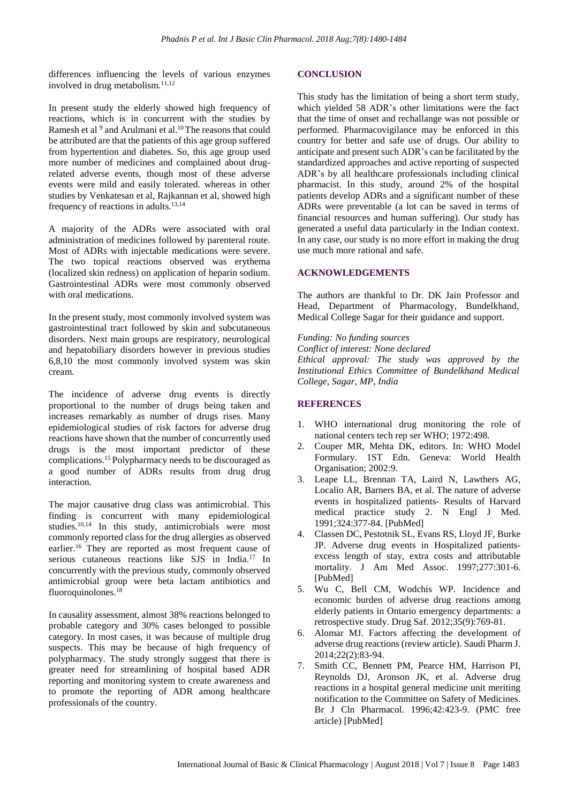differences influencing the levels of various enzymes involved in drug metabolism.11,12

In present study the elderly showed high frequency of reactions, which is in concurrent with the studies by Ramesh et al  $9$  and Arulmani et al.<sup>10</sup> The reasons that could be attributed are that the patients of this age group suffered from hypertention and diabetes. So, this age group used more number of medicines and complained about drugrelated adverse events, though most of these adverse events were mild and easily tolerated. whereas in other studies by Venkatesan et al, Rajkannan et al, showed high frequency of reactions in adults. $13,14$ 

A majority of the ADRs were associated with oral administration of medicines followed by parenteral route. Most of ADRs with injectable medications were severe. The two topical reactions observed was erythema (localized skin redness) on application of heparin sodium. Gastrointestinal ADRs were most commonly observed with oral medications.

In the present study, most commonly involved system was gastrointestinal tract followed by skin and subcutaneous disorders. Next main groups are respiratory, neurological and hepatobiliary disorders however in previous studies 6,8,10 the most commonly involved system was skin cream.

The incidence of adverse drug events is directly proportional to the number of drugs being taken and increases remarkably as number of drugs rises. Many epidemiological studies of risk factors for adverse drug reactions have shown that the number of concurrently used drugs is the most important predictor of these complications. <sup>15</sup> Polypharmacy needs to be discouraged as a good number of ADRs results from drug drug interaction.

The major causative drug class was antimicrobial. This finding is concurrent with many epidemiological studies.<sup>10,14</sup> In this study, antimicrobials were most commonly reported class for the drug allergies as observed earlier.<sup>16</sup> They are reported as most frequent cause of serious cutaneous reactions like SJS in India.<sup>17</sup> In concurrently with the previous study, commonly observed antimicrobial group were beta lactam antibiotics and fluoroquinolones. 18

In causality assessment, almost 38% reactions belonged to probable category and 30% cases belonged to possible category. In most cases, it was because of multiple drug suspects. This may be because of high frequency of polypharmacy. The study strongly suggest that there is greater need for streamlining of hospital based ADR reporting and monitoring system to create awareness and to promote the reporting of ADR among healthcare professionals of the country.

#### **CONCLUSION**

This study has the limitation of being a short term study, which yielded 58 ADR's other limitations were the fact that the time of onset and rechallange was not possible or performed. Pharmacovigilance may be enforced in this country for better and safe use of drugs. Our ability to anticipate and present such ADR's can be facilitated by the standardized approaches and active reporting of suspected ADR's by all healthcare professionals including clinical pharmacist. In this study, around 2% of the hospital patients develop ADRs and a significant number of these ADRs were preventable (a lot can be saved in terms of financial resources and human suffering). Our study has generated a useful data particularly in the Indian context. In any case, our study is no more effort in making the drug use much more rational and safe.

#### **ACKNOWLEDGEMENTS**

The authors are thankful to Dr. DK Jain Professor and Head, Department of Pharmacology, Bundelkhand, Medical College Sagar for their guidance and support.

*Funding: No funding sources Conflict of interest: None declared Ethical approval: The study was approved by the Institutional Ethics Committee of Bundelkhand Medical College, Sagar, MP, India*

#### **REFERENCES**

- 1. WHO international drug monitoring the role of national centers tech rep ser WHO; 1972:498.
- 2. Couper MR, Mehta DK, editors. In: WHO Model Formulary. 1ST Edn. Geneva: World Health Organisation; 2002:9.
- 3. Leape LL, Brennan TA, Laird N, Lawthers AG, Localio AR, Barners BA, et al. The nature of adverse events in hospitalized patients- Results of Harvard medical practice study 2. N Engl J Med. 1991;324:377-84. [PubMed]
- 4. Classen DC, Pestotnik SL, Evans RS, Lloyd JF, Burke JP. Adverse drug events in Hospitalized patientsexcess length of stay, extra costs and attributable mortality. J Am Med Assoc. 1997;277:301-6. [PubMed]
- 5. Wu C, Bell CM, Wodchis WP. Incidence and economic burden of adverse drug reactions among elderly patients in Ontario emergency departments: a retrospective study. Drug Saf. 2012;35(9):769-81.
- 6. Alomar MJ. Factors affecting the development of adverse drug reactions (review article). Saudi Pharm J. 2014;22(2):83-94.
- 7. Smith CC, Bennett PM, Pearce HM, Harrison PI, Reynolds DJ, Aronson JK, et al. Adverse drug reactions in a hospital general medicine unit meriting notification to the Committee on Safety of Medicines. Br J Cln Pharmacol. 1996;42:423-9. (PMC free article) [PubMed]